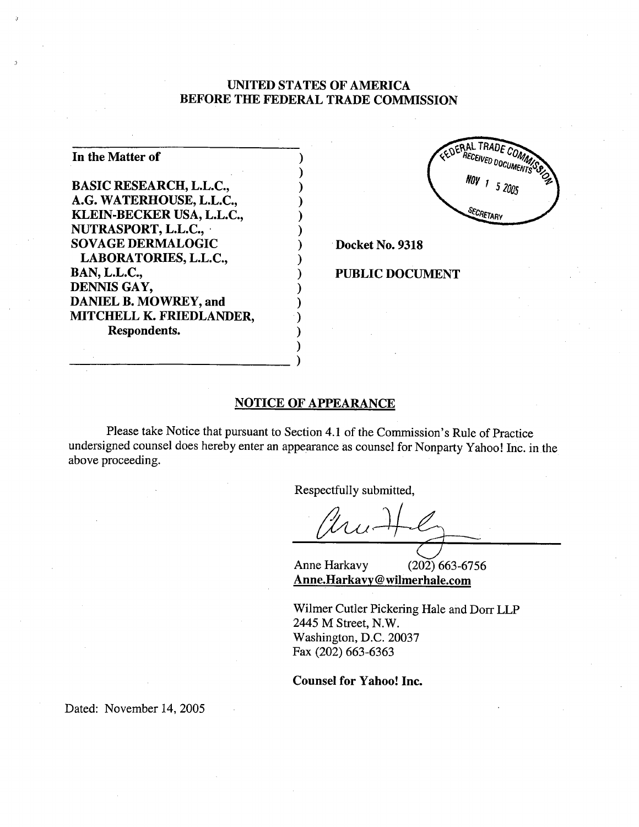# UNTED STATES OF AMERICA BEFORE THE FEDERAL TRADE COMMSSION

) ) )

| In the Matter of                |  |
|---------------------------------|--|
|                                 |  |
| <b>BASIC RESEARCH, L.L.C.,</b>  |  |
| A.G. WATERHOUSE, L.L.C.,        |  |
| KLEIN-BECKER USA, L.L.C.,       |  |
| NUTRASPORT, L.L.C.,             |  |
| <b>SOVAGE DERMALOGIC</b>        |  |
| LABORATORIES, L.L.C.,           |  |
| <b>BAN, L.L.C.,</b>             |  |
| DENNIS GAY,                     |  |
| <b>DANIEL B. MOWREY, and</b>    |  |
| <b>MITCHELL K. FRIEDLANDER,</b> |  |
| Respondents.                    |  |
|                                 |  |

RERAL TRADE RECEIVED DOCUMENT NOV 1 5 2005 SECRETARY

Docket No. 9318

### PUBLIC DOCUMENT

### NOTICE OF APPEARANCE

)

Please take Notice that pursuant to Section 4.1 of the Commission's Rule of Practice undersigned counsel does hereby enter an appearance as counsel for Nonparty Yahoo! Inc. in the above proceeding.

Respectfully submitted,<br> $\bigcup_{i=1}^n$ 

Anne Harkavy (202) 663-6756 Anne.Harkavy@wilmerhale.com

Wilmer Cutler Pickering Hale and Dorr LLP 2445 M Street, N.W. Washington, D.C. 20037 Fax (202) 663-6363

Counsel for Yahoo! Inc.

Dated: November 14, 2005